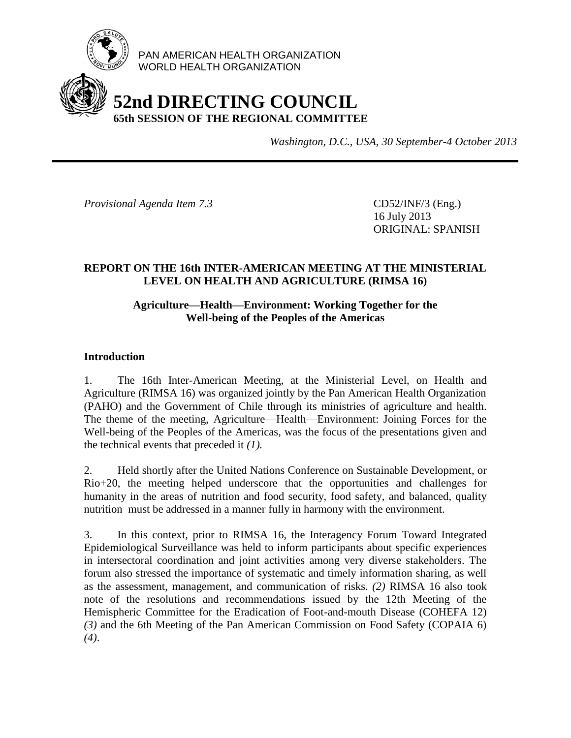

PAN AMERICAN HEALTH ORGANIZATION WORLD HEALTH ORGANIZATION

# **52nd DIRECTING COUNCIL 65th SESSION OF THE REGIONAL COMMITTEE**

*Washington, D.C., USA, 30 September-4 October 2013*

*Provisional Agenda Item 7.3* CD52/INF/3 (Eng.)

16 July 2013 ORIGINAL: SPANISH

# **REPORT ON THE 16th INTER-AMERICAN MEETING AT THE MINISTERIAL LEVEL ON HEALTH AND AGRICULTURE (RIMSA 16)**

## **Agriculture—Health—Environment: Working Together for the Well-being of the Peoples of the Americas**

## **Introduction**

1. The 16th Inter-American Meeting, at the Ministerial Level, on Health and Agriculture (RIMSA 16) was organized jointly by the Pan American Health Organization (PAHO) and the Government of Chile through its ministries of agriculture and health. The theme of the meeting, Agriculture—Health—Environment: Joining Forces for the Well-being of the Peoples of the Americas, was the focus of the presentations given and the technical events that preceded it *(1).*

2. Held shortly after the United Nations Conference on Sustainable Development, or Rio+20, the meeting helped underscore that the opportunities and challenges for humanity in the areas of nutrition and food security, food safety, and balanced, quality nutrition must be addressed in a manner fully in harmony with the environment.

3. In this context, prior to RIMSA 16, the Interagency Forum Toward Integrated Epidemiological Surveillance was held to inform participants about specific experiences in intersectoral coordination and joint activities among very diverse stakeholders. The forum also stressed the importance of systematic and timely information sharing, as well as the assessment, management, and communication of risks. *(2)* RIMSA 16 also took note of the resolutions and recommendations issued by the 12th Meeting of the Hemispheric Committee for the Eradication of Foot-and-mouth Disease (COHEFA 12) *(3)* and the 6th Meeting of the Pan American Commission on Food Safety (COPAIA 6) *(4)*.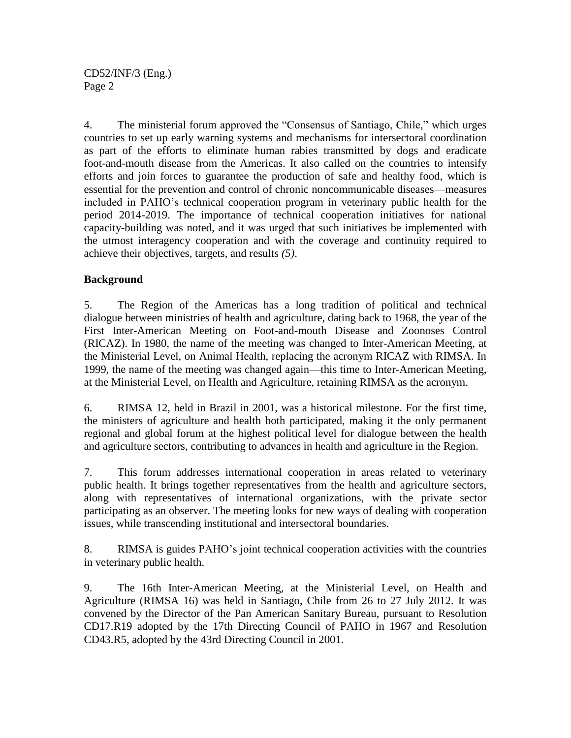CD52/INF/3 (Eng.) Page 2

4. The ministerial forum approved the "Consensus of Santiago, Chile," which urges countries to set up early warning systems and mechanisms for intersectoral coordination as part of the efforts to eliminate human rabies transmitted by dogs and eradicate foot-and-mouth disease from the Americas. It also called on the countries to intensify efforts and join forces to guarantee the production of safe and healthy food, which is essential for the prevention and control of chronic noncommunicable diseases—measures included in PAHO's technical cooperation program in veterinary public health for the period 2014-2019. The importance of technical cooperation initiatives for national capacity-building was noted, and it was urged that such initiatives be implemented with the utmost interagency cooperation and with the coverage and continuity required to achieve their objectives, targets, and results *(5)*.

## **Background**

5. The Region of the Americas has a long tradition of political and technical dialogue between ministries of health and agriculture, dating back to 1968, the year of the First Inter-American Meeting on Foot-and-mouth Disease and Zoonoses Control (RICAZ). In 1980, the name of the meeting was changed to Inter-American Meeting, at the Ministerial Level, on Animal Health, replacing the acronym RICAZ with RIMSA. In 1999, the name of the meeting was changed again—this time to Inter-American Meeting, at the Ministerial Level, on Health and Agriculture, retaining RIMSA as the acronym.

6. RIMSA 12, held in Brazil in 2001, was a historical milestone. For the first time, the ministers of agriculture and health both participated, making it the only permanent regional and global forum at the highest political level for dialogue between the health and agriculture sectors, contributing to advances in health and agriculture in the Region.

7. This forum addresses international cooperation in areas related to veterinary public health. It brings together representatives from the health and agriculture sectors, along with representatives of international organizations, with the private sector participating as an observer. The meeting looks for new ways of dealing with cooperation issues, while transcending institutional and intersectoral boundaries.

8. RIMSA is guides PAHO's joint technical cooperation activities with the countries in veterinary public health.

9. The 16th Inter-American Meeting, at the Ministerial Level, on Health and Agriculture (RIMSA 16) was held in Santiago, Chile from 26 to 27 July 2012. It was convened by the Director of the Pan American Sanitary Bureau, pursuant to Resolution CD17.R19 adopted by the 17th Directing Council of PAHO in 1967 and Resolution CD43.R5, adopted by the 43rd Directing Council in 2001.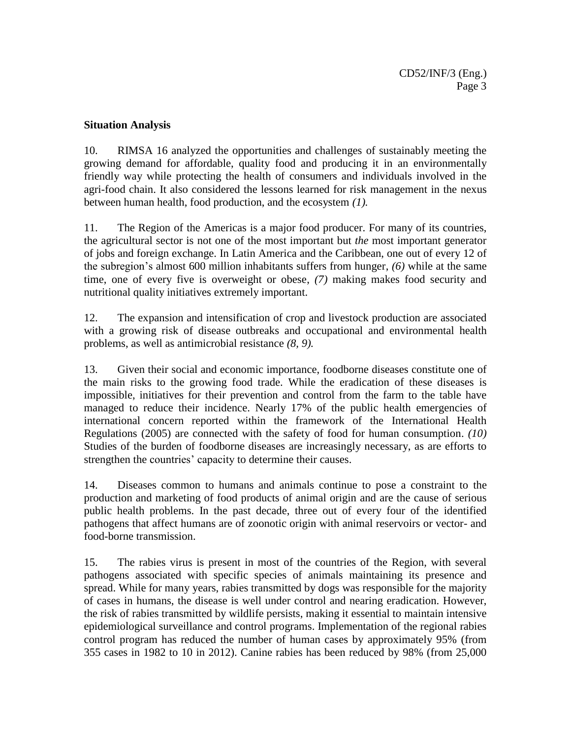### **Situation Analysis**

10. RIMSA 16 analyzed the opportunities and challenges of sustainably meeting the growing demand for affordable, quality food and producing it in an environmentally friendly way while protecting the health of consumers and individuals involved in the agri-food chain. It also considered the lessons learned for risk management in the nexus between human health, food production, and the ecosystem *(1).*

11. The Region of the Americas is a major food producer. For many of its countries, the agricultural sector is not one of the most important but *the* most important generator of jobs and foreign exchange. In Latin America and the Caribbean, one out of every 12 of the subregion's almost 600 million inhabitants suffers from hunger, *(6)* while at the same time, one of every five is overweight or obese, *(7)* making makes food security and nutritional quality initiatives extremely important.

12. The expansion and intensification of crop and livestock production are associated with a growing risk of disease outbreaks and occupational and environmental health problems, as well as antimicrobial resistance *(8, 9).*

13. Given their social and economic importance, foodborne diseases constitute one of the main risks to the growing food trade. While the eradication of these diseases is impossible, initiatives for their prevention and control from the farm to the table have managed to reduce their incidence. Nearly 17% of the public health emergencies of international concern reported within the framework of the International Health Regulations (2005) are connected with the safety of food for human consumption. *(10)* Studies of the burden of foodborne diseases are increasingly necessary, as are efforts to strengthen the countries' capacity to determine their causes.

14. Diseases common to humans and animals continue to pose a constraint to the production and marketing of food products of animal origin and are the cause of serious public health problems. In the past decade, three out of every four of the identified pathogens that affect humans are of zoonotic origin with animal reservoirs or vector- and food-borne transmission.

15. The rabies virus is present in most of the countries of the Region, with several pathogens associated with specific species of animals maintaining its presence and spread. While for many years, rabies transmitted by dogs was responsible for the majority of cases in humans, the disease is well under control and nearing eradication. However, the risk of rabies transmitted by wildlife persists, making it essential to maintain intensive epidemiological surveillance and control programs. Implementation of the regional rabies control program has reduced the number of human cases by approximately 95% (from 355 cases in 1982 to 10 in 2012). Canine rabies has been reduced by 98% (from 25,000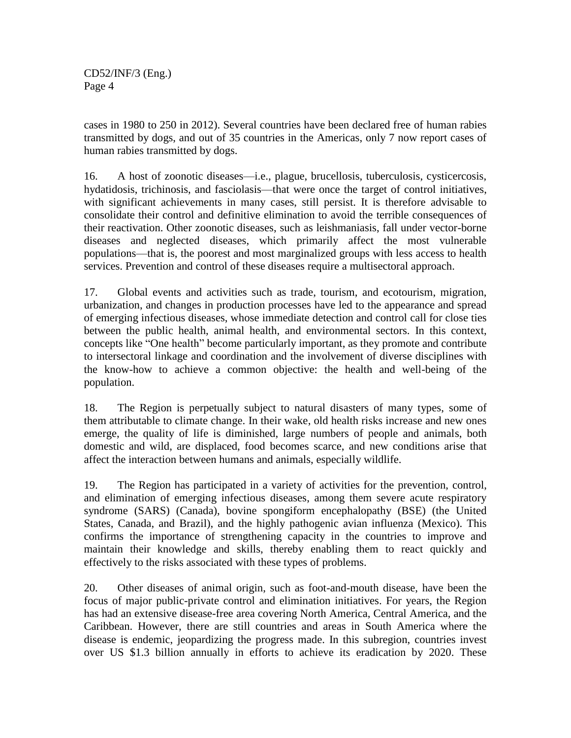CD52/INF/3 (Eng.) Page 4

cases in 1980 to 250 in 2012). Several countries have been declared free of human rabies transmitted by dogs, and out of 35 countries in the Americas, only 7 now report cases of human rabies transmitted by dogs.

16. A host of zoonotic diseases—i.e., plague, brucellosis, tuberculosis, cysticercosis, hydatidosis, trichinosis, and fasciolasis—that were once the target of control initiatives, with significant achievements in many cases, still persist. It is therefore advisable to consolidate their control and definitive elimination to avoid the terrible consequences of their reactivation. Other zoonotic diseases, such as leishmaniasis, fall under vector-borne diseases and neglected diseases, which primarily affect the most vulnerable populations—that is, the poorest and most marginalized groups with less access to health services. Prevention and control of these diseases require a multisectoral approach.

17. Global events and activities such as trade, tourism, and ecotourism, migration, urbanization, and changes in production processes have led to the appearance and spread of emerging infectious diseases, whose immediate detection and control call for close ties between the public health, animal health, and environmental sectors. In this context, concepts like "One health" become particularly important, as they promote and contribute to intersectoral linkage and coordination and the involvement of diverse disciplines with the know-how to achieve a common objective: the health and well-being of the population.

18. The Region is perpetually subject to natural disasters of many types, some of them attributable to climate change. In their wake, old health risks increase and new ones emerge, the quality of life is diminished, large numbers of people and animals, both domestic and wild, are displaced, food becomes scarce, and new conditions arise that affect the interaction between humans and animals, especially wildlife.

19. The Region has participated in a variety of activities for the prevention, control, and elimination of emerging infectious diseases, among them severe acute respiratory syndrome (SARS) (Canada), bovine spongiform encephalopathy (BSE) (the United States, Canada, and Brazil), and the highly pathogenic avian influenza (Mexico). This confirms the importance of strengthening capacity in the countries to improve and maintain their knowledge and skills, thereby enabling them to react quickly and effectively to the risks associated with these types of problems.

20. Other diseases of animal origin, such as foot-and-mouth disease, have been the focus of major public-private control and elimination initiatives. For years, the Region has had an extensive disease-free area covering North America, Central America, and the Caribbean. However, there are still countries and areas in South America where the disease is endemic, jeopardizing the progress made. In this subregion, countries invest over US \$1.3 billion annually in efforts to achieve its eradication by 2020. These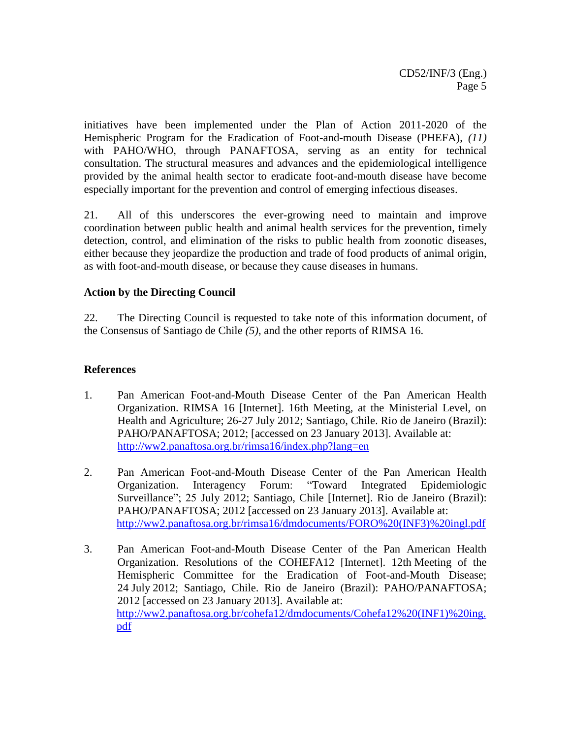initiatives have been implemented under the Plan of Action 2011-2020 of the Hemispheric Program for the Eradication of Foot-and-mouth Disease (PHEFA), *(11)* with PAHO/WHO, through PANAFTOSA, serving as an entity for technical consultation. The structural measures and advances and the epidemiological intelligence provided by the animal health sector to eradicate foot-and-mouth disease have become especially important for the prevention and control of emerging infectious diseases.

21. All of this underscores the ever-growing need to maintain and improve coordination between public health and animal health services for the prevention, timely detection, control, and elimination of the risks to public health from zoonotic diseases, either because they jeopardize the production and trade of food products of animal origin, as with foot-and-mouth disease, or because they cause diseases in humans.

### **Action by the Directing Council**

22. The Directing Council is requested to take note of this information document, of the Consensus of Santiago de Chile *(5)*, and the other reports of RIMSA 16.

### **References**

- 1. Pan American Foot-and-Mouth Disease Center of the Pan American Health Organization. RIMSA 16 [Internet]. 16th Meeting, at the Ministerial Level, on Health and Agriculture; 26-27 July 2012; Santiago, Chile. Rio de Janeiro (Brazil): PAHO/PANAFTOSA; 2012; [accessed on 23 January 2013]. Available at: <http://ww2.panaftosa.org.br/rimsa16/index.php?lang=en>
- 2. Pan American Foot-and-Mouth Disease Center of the Pan American Health Organization. Interagency Forum: "Toward Integrated Epidemiologic Surveillance"; 25 July 2012; Santiago, Chile [Internet]. Rio de Janeiro (Brazil): PAHO/PANAFTOSA; 2012 [accessed on 23 January 2013]. Available at: [http://ww2.panaftosa.org.br/rimsa16/dmdocuments/FORO%20\(INF3\)%20ingl.pdf](http://ww2.panaftosa.org.br/rimsa16/dmdocuments/FORO%20(INF3)%20ingl.pdf)
- 3. Pan American Foot-and-Mouth Disease Center of the Pan American Health Organization. Resolutions of the COHEFA12 [Internet]. 12th Meeting of the Hemispheric Committee for the Eradication of Foot-and-Mouth Disease; 24 July 2012; Santiago, Chile. Rio de Janeiro (Brazil): PAHO/PANAFTOSA; 2012 [accessed on 23 January 2013]. Available at: [http://ww2.panaftosa.org.br/cohefa12/dmdocuments/Cohefa12%20\(INF1\)%20ing.](http://ww2.panaftosa.org.br/cohefa12/dmdocuments/Cohefa12%20(INF1)%20ing.pdf) [pdf](http://ww2.panaftosa.org.br/cohefa12/dmdocuments/Cohefa12%20(INF1)%20ing.pdf)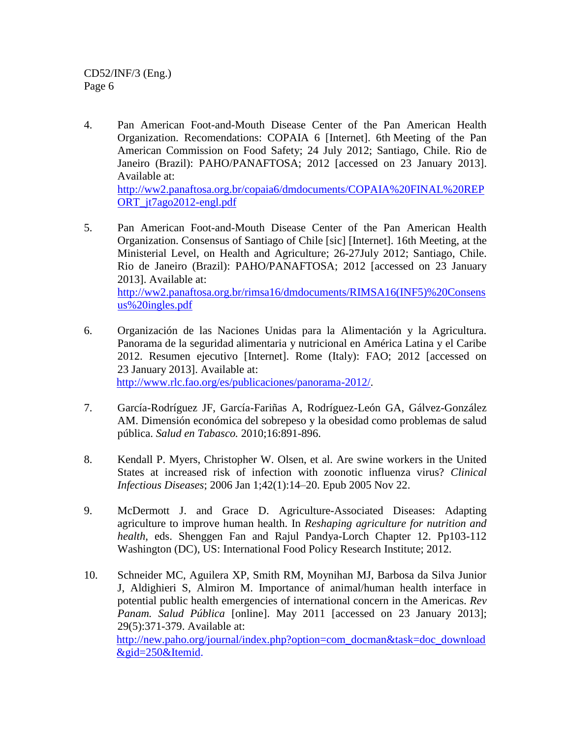CD52/INF/3 (Eng.) Page 6

4. Pan American Foot-and-Mouth Disease Center of the Pan American Health Organization. Recomendations: COPAIA 6 [Internet]. 6th Meeting of the Pan American Commission on Food Safety; 24 July 2012; Santiago, Chile. Rio de Janeiro (Brazil): PAHO/PANAFTOSA; 2012 [accessed on 23 January 2013]. Available at: [http://ww2.panaftosa.org.br/copaia6/dmdocuments/COPAIA%20FINAL%20REP](http://ww2.panaftosa.org.br/copaia6/dmdocuments/COPAIA%20FINAL%20REPORT_jt7ago2012-engl.pdf)

ORT\_it7ago2012-engl.pdf

- 5. Pan American Foot-and-Mouth Disease Center of the Pan American Health Organization. Consensus of Santiago of Chile [sic] [Internet]. 16th Meeting, at the Ministerial Level, on Health and Agriculture; 26-27July 2012; Santiago, Chile. Rio de Janeiro (Brazil): PAHO/PANAFTOSA; 2012 [accessed on 23 January 2013]. Available at: [http://ww2.panaftosa.org.br/rimsa16/dmdocuments/RIMSA16\(INF5\)%20Consens](http://ww2.panaftosa.org.br/rimsa16/dmdocuments/RIMSA16(INF5)%20Consensus%20ingles.pdf) [us%20ingles.pdf](http://ww2.panaftosa.org.br/rimsa16/dmdocuments/RIMSA16(INF5)%20Consensus%20ingles.pdf)
- 6. Organización de las Naciones Unidas para la Alimentación y la Agricultura. Panorama de la seguridad alimentaria y nutricional en América Latina y el Caribe 2012. Resumen ejecutivo [Internet]. Rome (Italy): FAO; 2012 [accessed on 23 January 2013]. Available at: [http://www.rlc.fao.org/es/publicaciones/panorama-2012/.](http://www.rlc.fao.org/es/publicaciones/panorama-2012/)
- 7. García-Rodríguez JF, García-Fariñas A, Rodríguez-León GA, Gálvez-González AM. Dimensión económica del sobrepeso y la obesidad como problemas de salud pública. *Salud en Tabasco.* 2010;16:891-896.
- 8. Kendall P. Myers, Christopher W. Olsen, et al. Are swine workers in the United States at increased risk of infection with zoonotic influenza virus? *Clinical Infectious Diseases*; 2006 Jan 1;42(1):14–20. Epub 2005 Nov 22.
- 9. McDermott J. and Grace D. Agriculture-Associated Diseases: Adapting agriculture to improve human health. In *Reshaping agriculture for nutrition and health*, eds. Shenggen Fan and Rajul Pandya-Lorch Chapter 12. Pp103-112 Washington (DC), US: International Food Policy Research Institute; 2012.
- 10. Schneider MC, Aguilera XP, Smith RM, Moynihan MJ, Barbosa da Silva Junior J, Aldighieri S, Almiron M. Importance of animal/human health interface in potential public health emergencies of international concern in the Americas. *Rev Panam. Salud Pública* [online]. May 2011 [accessed on 23 January 2013]; 29(5):371-379. Available at: [http://new.paho.org/journal/index.php?option=com\\_docman&task=doc\\_download](http://new.paho.org/journal/index.php?option=com_docman&task=doc_download&gid=250&Itemid) [&gid=250&Itemid.](http://new.paho.org/journal/index.php?option=com_docman&task=doc_download&gid=250&Itemid)